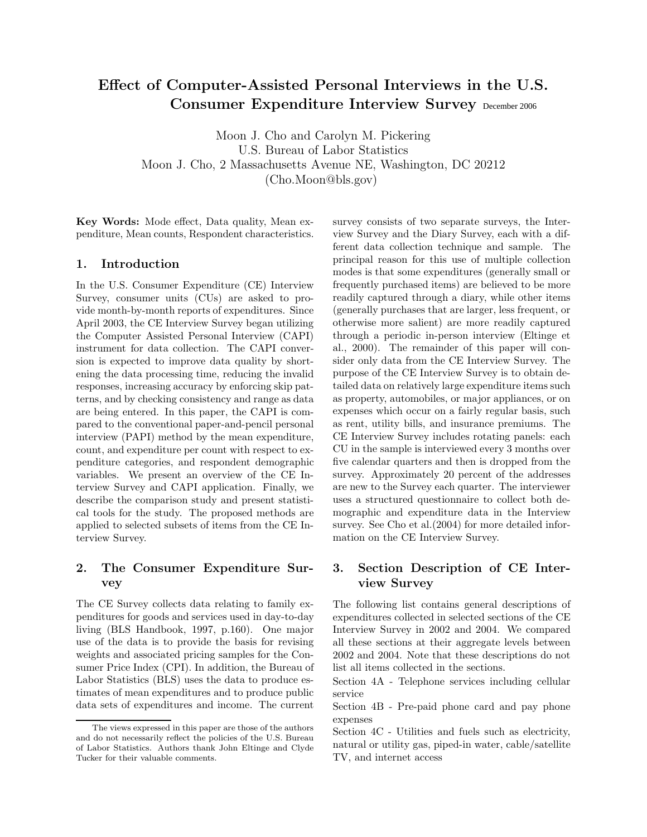# **Effect of Computer-Assisted Personal Interviews in the U.S. Consumer Expenditure Interview Survey** December 2006

Moon J. Cho and Carolyn M. Pickering U.S. Bureau of Labor Statistics Moon J. Cho, 2 Massachusetts Avenue NE, Washington, DC 20212 (Cho.Moon@bls.gov)

**Key Words:** Mode effect, Data quality, Mean expenditure, Mean counts, Respondent characteristics.

# **1. Introduction**

In the U.S. Consumer Expenditure (CE) Interview Survey, consumer units (CUs) are asked to provide month-by-month reports of expenditures. Since April 2003, the CE Interview Survey began utilizing the Computer Assisted Personal Interview (CAPI) instrument for data collection. The CAPI conversion is expected to improve data quality by shortening the data processing time, reducing the invalid responses, increasing accuracy by enforcing skip patterns, and by checking consistency and range as data are being entered. In this paper, the CAPI is compared to the conventional paper-and-pencil personal interview (PAPI) method by the mean expenditure, count, and expenditure per count with respect to expenditure categories, and respondent demographic variables. We present an overview of the CE Interview Survey and CAPI application. Finally, we describe the comparison study and present statistical tools for the study. The proposed methods are applied to selected subsets of items from the CE Interview Survey.

# **2. The Consumer Expenditure Survey**

The CE Survey collects data relating to family expenditures for goods and services used in day-to-day living (BLS Handbook, 1997, p.160). One major use of the data is to provide the basis for revising weights and associated pricing samples for the Consumer Price Index (CPI). In addition, the Bureau of Labor Statistics (BLS) uses the data to produce estimates of mean expenditures and to produce public data sets of expenditures and income. The current survey consists of two separate surveys, the Interview Survey and the Diary Survey, each with a different data collection technique and sample. The principal reason for this use of multiple collection modes is that some expenditures (generally small or frequently purchased items) are believed to be more readily captured through a diary, while other items (generally purchases that are larger, less frequent, or otherwise more salient) are more readily captured through a periodic in-person interview (Eltinge et al., 2000). The remainder of this paper will consider only data from the CE Interview Survey. The purpose of the CE Interview Survey is to obtain detailed data on relatively large expenditure items such as property, automobiles, or major appliances, or on expenses which occur on a fairly regular basis, such as rent, utility bills, and insurance premiums. The CE Interview Survey includes rotating panels: each CU in the sample is interviewed every 3 months over five calendar quarters and then is dropped from the survey. Approximately 20 percent of the addresses are new to the Survey each quarter. The interviewer uses a structured questionnaire to collect both demographic and expenditure data in the Interview survey. See Cho et al.  $(2004)$  for more detailed information on the CE Interview Survey.

# **3. Section Description of CE Interview Survey**

The following list contains general descriptions of expenditures collected in selected sections of the CE Interview Survey in 2002 and 2004. We compared all these sections at their aggregate levels between 2002 and 2004. Note that these descriptions do not list all items collected in the sections.

The views expressed in this paper are those of the authors and do not necessarily reflect the policies of the U.S. Bureau of Labor Statistics. Authors thank John Eltinge and Clyde Tucker for their valuable comments.

Section 4A - Telephone services including cellular service

Section 4B - Pre-paid phone card and pay phone expenses

Section 4C - Utilities and fuels such as electricity, natural or utility gas, piped-in water, cable/satellite TV, and internet access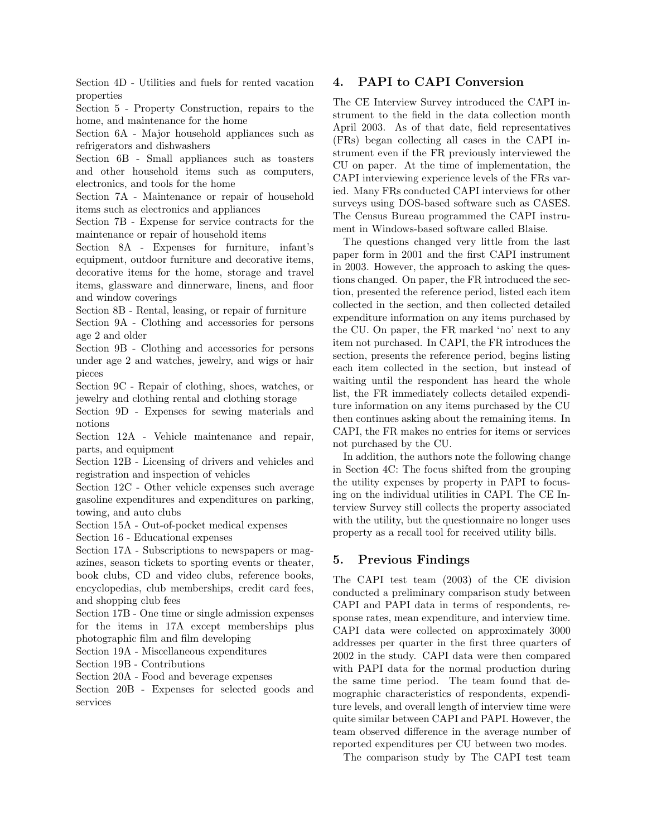Section 4D - Utilities and fuels for rented vacation properties

Section 5 - Property Construction, repairs to the home, and maintenance for the home

Section 6A - Major household appliances such as refrigerators and dishwashers

Section 6B - Small appliances such as toasters and other household items such as computers, electronics, and tools for the home

Section 7A - Maintenance or repair of household items such as electronics and appliances

Section 7B - Expense for service contracts for the maintenance or repair of household items

Section 8A - Expenses for furniture, infant's equipment, outdoor furniture and decorative items, decorative items for the home, storage and travel items, glassware and dinnerware, linens, and floor and window coverings

Section 8B - Rental, leasing, or repair of furniture

Section 9A - Clothing and accessories for persons age 2 and older

Section 9B - Clothing and accessories for persons under age 2 and watches, jewelry, and wigs or hair pieces

Section 9C - Repair of clothing, shoes, watches, or jewelry and clothing rental and clothing storage

Section 9D - Expenses for sewing materials and notions

Section 12A - Vehicle maintenance and repair, parts, and equipment

Section 12B - Licensing of drivers and vehicles and registration and inspection of vehicles

Section 12C - Other vehicle expenses such average gasoline expenditures and expenditures on parking, towing, and auto clubs

Section 15A - Out-of-pocket medical expenses

Section 16 - Educational expenses

Section 17A - Subscriptions to newspapers or magazines, season tickets to sporting events or theater, book clubs, CD and video clubs, reference books, encyclopedias, club memberships, credit card fees, and shopping club fees

Section 17B - One time or single admission expenses for the items in 17A except memberships plus photographic film and film developing

Section 19A - Miscellaneous expenditures

Section 19B - Contributions

Section 20A - Food and beverage expenses

Section 20B - Expenses for selected goods and services

# **4. PAPI to CAPI Conversion**

The CE Interview Survey introduced the CAPI instrument to the field in the data collection month April 2003. As of that date, field representatives (FRs) began collecting all cases in the CAPI instrument even if the FR previously interviewed the CU on paper. At the time of implementation, the CAPI interviewing experience levels of the FRs varied. Many FRs conducted CAPI interviews for other surveys using DOS-based software such as CASES. The Census Bureau programmed the CAPI instrument in Windows-based software called Blaise.

The questions changed very little from the last paper form in 2001 and the first CAPI instrument in 2003. However, the approach to asking the questions changed. On paper, the FR introduced the section, presented the reference period, listed each item collected in the section, and then collected detailed expenditure information on any items purchased by the CU. On paper, the FR marked 'no' next to any item not purchased. In CAPI, the FR introduces the section, presents the reference period, begins listing each item collected in the section, but instead of waiting until the respondent has heard the whole list, the FR immediately collects detailed expenditure information on any items purchased by the CU then continues asking about the remaining items. In CAPI, the FR makes no entries for items or services not purchased by the CU.

In addition, the authors note the following change in Section 4C: The focus shifted from the grouping the utility expenses by property in PAPI to focusing on the individual utilities in CAPI. The CE Interview Survey still collects the property associated with the utility, but the questionnaire no longer uses property as a recall tool for received utility bills.

# **5. Previous Findings**

The CAPI test team (2003) of the CE division conducted a preliminary comparison study between CAPI and PAPI data in terms of respondents, response rates, mean expenditure, and interview time. CAPI data were collected on approximately 3000 addresses per quarter in the first three quarters of 2002 in the study. CAPI data were then compared with PAPI data for the normal production during the same time period. The team found that demographic characteristics of respondents, expenditure levels, and overall length of interview time were quite similar between CAPI and PAPI. However, the team observed difference in the average number of reported expenditures per CU between two modes.

The comparison study by The CAPI test team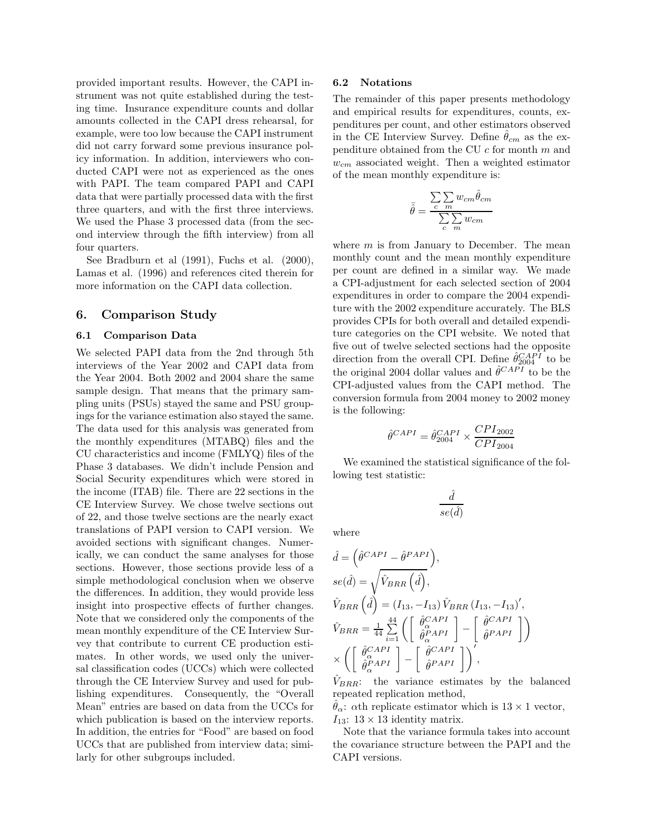provided important results. However, the CAPI instrument was not quite established during the testing time. Insurance expenditure counts and dollar amounts collected in the CAPI dress rehearsal, for example, were too low because the CAPI instrument did not carry forward some previous insurance policy information. In addition, interviewers who conducted CAPI were not as experienced as the ones with PAPI. The team compared PAPI and CAPI data that were partially processed data with the first three quarters, and with the first three interviews. We used the Phase 3 processed data (from the second interview through the fifth interview) from all four quarters.

See Bradburn et al (1991), Fuchs et al. (2000), Lamas et al. (1996) and references cited therein for more information on the CAPI data collection.

# **6. Comparison Study**

### **6.1 Comparison Data**

We selected PAPI data from the 2nd through 5th interviews of the Year 2002 and CAPI data from the Year 2004. Both 2002 and 2004 share the same sample design. That means that the primary sampling units (PSUs) stayed the same and PSU groupings for the variance estimation also stayed the same. The data used for this analysis was generated from the monthly expenditures (MTABQ) files and the CU characteristics and income (FMLYQ) files of the Phase 3 databases. We didn't include Pension and Social Security expenditures which were stored in the income (ITAB) file. There are 22 sections in the CE Interview Survey. We chose twelve sections out of 22, and those twelve sections are the nearly exact translations of PAPI version to CAPI version. We avoided sections with significant changes. Numerically, we can conduct the same analyses for those sections. However, those sections provide less of a simple methodological conclusion when we observe the differences. In addition, they would provide less insight into prospective effects of further changes. Note that we considered only the components of the mean monthly expenditure of the CE Interview Survey that contribute to current CE production estimates. In other words, we used only the universal classification codes (UCCs) which were collected through the CE Interview Survey and used for publishing expenditures. Consequently, the "Overall Mean" entries are based on data from the UCCs for which publication is based on the interview reports. In addition, the entries for "Food" are based on food UCCs that are published from interview data; similarly for other subgroups included.

#### **6.2 Notations**

The remainder of this paper presents methodology and empirical results for expenditures, counts, expenditures per count, and other estimators observed in the CE Interview Survey. Define  $\hat{\theta}_{cm}$  as the expenditure obtained from the CU  $c$  for month  $m$  and w*cm* associated weight. Then a weighted estimator of the mean monthly expenditure is:

$$
\bar{\hat{\theta}} = \frac{\sum_{c} \sum_{m} w_{cm} \hat{\theta}_{cm}}{\sum_{c} \sum_{m} w_{cm}}
$$

where  $m$  is from January to December. The mean monthly count and the mean monthly expenditure per count are defined in a similar way. We made a CPI-adjustment for each selected section of 2004 expenditures in order to compare the 2004 expenditure with the 2002 expenditure accurately. The BLS provides CPIs for both overall and detailed expenditure categories on the CPI website. We noted that five out of twelve selected sections had the opposite direction from the overall CPI. Define  $\hat{\theta}_{2004}^{CAPI}$  to be the original 2004 dollar values and  $\hat{\theta}^{CAPI}$  to be the CPI-adjusted values from the CAPI method. The conversion formula from 2004 money to 2002 money is the following:

$$
\hat{\theta}^{CAPI} = \hat{\theta}_{2004}^{CAPI} \times \frac{CPI_{2002}}{CPI_{2004}}
$$

We examined the statistical significance of the following test statistic:

$$
\frac{\hat{d}}{se(\hat{d})}
$$

where

$$
\hat{d} = \left(\hat{\theta}^{CAPI} - \hat{\theta}^{PAPI}\right),
$$
\n
$$
se(\hat{d}) = \sqrt{\hat{V}_{BRR}(\hat{d})},
$$
\n
$$
\hat{V}_{BRR}(\hat{d}) = (I_{13}, -I_{13})\hat{V}_{BRR} (I_{13}, -I_{13})',
$$
\n
$$
\hat{V}_{BRR} = \frac{1}{44} \sum_{i=1}^{44} \left( \begin{bmatrix} \hat{\theta}_{\alpha}^{CAPI} \\ \hat{\theta}_{\alpha}^{PAPI} \end{bmatrix} - \begin{bmatrix} \hat{\theta}^{CAPI} \\ \hat{\theta}^{PAPI} \end{bmatrix} \right)
$$
\n
$$
\times \left( \begin{bmatrix} \hat{\theta}_{\alpha}^{CAPI} \\ \hat{\theta}_{\alpha}^{PAPI} \end{bmatrix} - \begin{bmatrix} \hat{\theta}^{CAPI} \\ \hat{\theta}^{PAPI} \end{bmatrix} \right),
$$

 $V_{BRR}$ : the variance estimates by the balanced repeated replication method,

 $\ddot{\theta}_{\alpha}$ :  $\alpha$ th replicate estimator which is 13 × 1 vector,  $I_{13}: 13 \times 13$  identity matrix.

Note that the variance formula takes into account the covariance structure between the PAPI and the CAPI versions.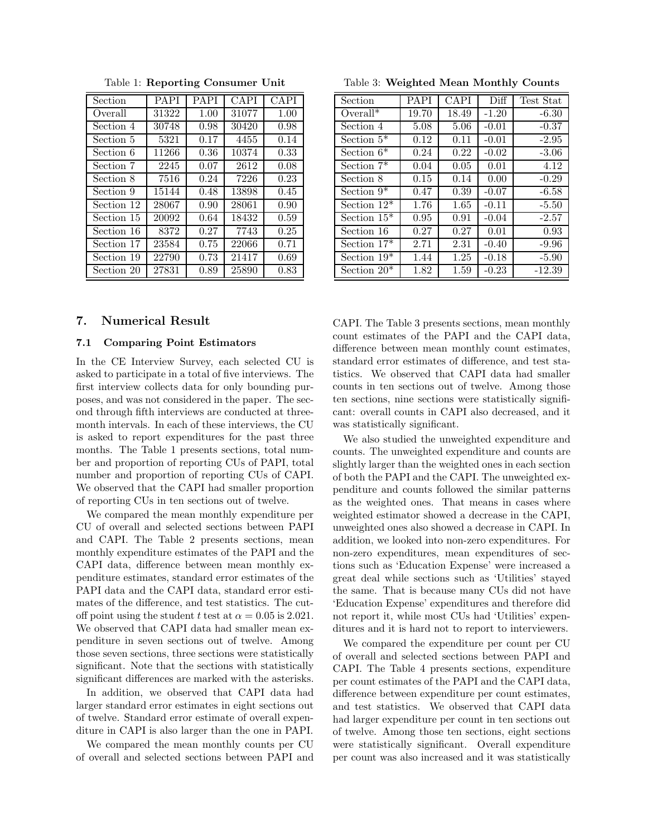| Section    | <b>PAPI</b> | PAPI | <b>CAPI</b> | <b>CAPI</b> |
|------------|-------------|------|-------------|-------------|
| Overall    | 31322       | 1.00 | 31077       | 1.00        |
| Section 4  | 30748       | 0.98 | 30420       | 0.98        |
| Section 5  | 5321        | 0.17 | 4455        | 0.14        |
| Section 6  | 11266       | 0.36 | 10374       | 0.33        |
| Section 7  | 2245        | 0.07 | 2612        | 0.08        |
| Section 8  | 7516        | 0.24 | 7226        | 0.23        |
| Section 9  | 15144       | 0.48 | 13898       | 0.45        |
| Section 12 | 28067       | 0.90 | 28061       | 0.90        |
| Section 15 | 20092       | 0.64 | 18432       | 0.59        |
| Section 16 | 8372        | 0.27 | 7743        | 0.25        |
| Section 17 | 23584       | 0.75 | 22066       | 0.71        |
| Section 19 | 22790       | 0.73 | 21417       | 0.69        |
| Section 20 | 27831       | 0.89 | 25890       | 0.83        |

Table 1: **Reporting Consumer Unit**

## **7. Numerical Result**

#### **7.1 Comparing Point Estimators**

In the CE Interview Survey, each selected CU is asked to participate in a total of five interviews. The first interview collects data for only bounding purposes, and was not considered in the paper. The second through fifth interviews are conducted at threemonth intervals. In each of these interviews, the CU is asked to report expenditures for the past three months. The Table 1 presents sections, total number and proportion of reporting CUs of PAPI, total number and proportion of reporting CUs of CAPI. We observed that the CAPI had smaller proportion of reporting CUs in ten sections out of twelve.

We compared the mean monthly expenditure per CU of overall and selected sections between PAPI and CAPI. The Table 2 presents sections, mean monthly expenditure estimates of the PAPI and the CAPI data, difference between mean monthly expenditure estimates, standard error estimates of the PAPI data and the CAPI data, standard error estimates of the difference, and test statistics. The cutoff point using the student t test at  $\alpha = 0.05$  is 2.021. We observed that CAPI data had smaller mean expenditure in seven sections out of twelve. Among those seven sections, three sections were statistically significant. Note that the sections with statistically significant differences are marked with the asterisks.

In addition, we observed that CAPI data had larger standard error estimates in eight sections out of twelve. Standard error estimate of overall expenditure in CAPI is also larger than the one in PAPI.

We compared the mean monthly counts per CU of overall and selected sections between PAPI and

Table 3: **Weighted Mean Monthly Counts**

| Section        | <b>PAPI</b> | <b>CAPI</b> | Diff    | Test Stat |
|----------------|-------------|-------------|---------|-----------|
| $Overall*$     | 19.70       | 18.49       | $-1.20$ | $-6.30$   |
| Section 4      | 5.08        | 5.06        | $-0.01$ | $-0.37$   |
| Section $5^*$  | 0.12        | 0.11        | $-0.01$ | $-2.95$   |
| Section $6*$   | 0.24        | 0.22        | $-0.02$ | $-3.06$   |
| Section $7^*$  | 0.04        | 0.05        | 0.01    | 4.12      |
| Section 8      | 0.15        | 0.14        | 0.00    | $-0.29$   |
| Section $9^*$  | 0.47        | 0.39        | $-0.07$ | $-6.58$   |
| Section $12^*$ | 1.76        | 1.65        | $-0.11$ | $-5.50$   |
| Section $15*$  | 0.95        | 0.91        | $-0.04$ | $-2.57$   |
| Section 16     | 0.27        | 0.27        | 0.01    | 0.93      |
| Section $17*$  | 2.71        | 2.31        | $-0.40$ | $-9.96$   |
| Section $19*$  | 1.44        | 1.25        | $-0.18$ | $-5.90$   |
| Section $20^*$ | 1.82        | 1.59        | $-0.23$ | $-12.39$  |

CAPI. The Table 3 presents sections, mean monthly count estimates of the PAPI and the CAPI data, difference between mean monthly count estimates, standard error estimates of difference, and test statistics. We observed that CAPI data had smaller counts in ten sections out of twelve. Among those ten sections, nine sections were statistically significant: overall counts in CAPI also decreased, and it was statistically significant.

We also studied the unweighted expenditure and counts. The unweighted expenditure and counts are slightly larger than the weighted ones in each section of both the PAPI and the CAPI. The unweighted expenditure and counts followed the similar patterns as the weighted ones. That means in cases where weighted estimator showed a decrease in the CAPI, unweighted ones also showed a decrease in CAPI. In addition, we looked into non-zero expenditures. For non-zero expenditures, mean expenditures of sections such as 'Education Expense' were increased a great deal while sections such as 'Utilities' stayed the same. That is because many CUs did not have 'Education Expense' expenditures and therefore did not report it, while most CUs had 'Utilities' expenditures and it is hard not to report to interviewers.

We compared the expenditure per count per CU of overall and selected sections between PAPI and CAPI. The Table 4 presents sections, expenditure per count estimates of the PAPI and the CAPI data, difference between expenditure per count estimates, and test statistics. We observed that CAPI data had larger expenditure per count in ten sections out of twelve. Among those ten sections, eight sections were statistically significant. Overall expenditure per count was also increased and it was statistically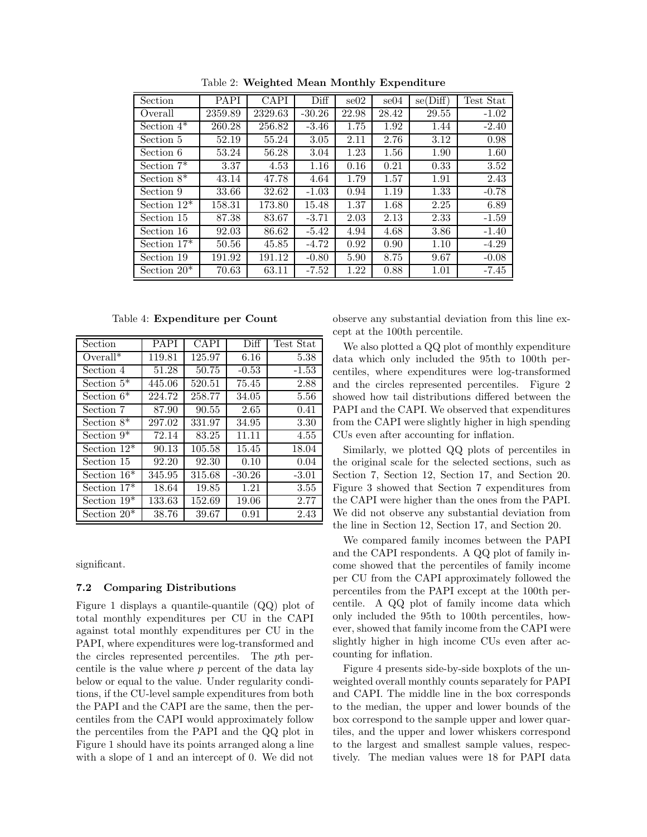| Section        | <b>PAPI</b> | <b>CAPI</b> | Diff     | $\mathrm{se}02$ | se04  | se(Diff) | Test Stat |
|----------------|-------------|-------------|----------|-----------------|-------|----------|-----------|
| Overall        | 2359.89     | 2329.63     | $-30.26$ | 22.98           | 28.42 | 29.55    | $-1.02$   |
| Section $4^*$  | 260.28      | 256.82      | $-3.46$  | 1.75            | 1.92  | 1.44     | $-2.40$   |
| Section 5      | 52.19       | 55.24       | 3.05     | 2.11            | 2.76  | 3.12     | 0.98      |
| Section 6      | 53.24       | 56.28       | 3.04     | 1.23            | 1.56  | 1.90     | 1.60      |
| Section $7^*$  | 3.37        | 4.53        | 1.16     | 0.16            | 0.21  | 0.33     | 3.52      |
| Section $8^*$  | 43.14       | 47.78       | 4.64     | 1.79            | 1.57  | 1.91     | 2.43      |
| Section 9      | 33.66       | 32.62       | $-1.03$  | 0.94            | 1.19  | 1.33     | $-0.78$   |
| Section $12^*$ | 158.31      | 173.80      | 15.48    | 1.37            | 1.68  | 2.25     | 6.89      |
| Section 15     | 87.38       | 83.67       | $-3.71$  | 2.03            | 2.13  | 2.33     | $-1.59$   |
| Section 16     | 92.03       | 86.62       | $-5.42$  | 4.94            | 4.68  | 3.86     | $-1.40$   |
| Section $17*$  | 50.56       | 45.85       | $-4.72$  | 0.92            | 0.90  | 1.10     | $-4.29$   |
| Section 19     | 191.92      | 191.12      | $-0.80$  | 5.90            | 8.75  | 9.67     | $-0.08$   |
| Section $20^*$ | 70.63       | 63.11       | $-7.52$  | 1.22            | 0.88  | 1.01     | $-7.45$   |

Table 2: **Weighted Mean Monthly Expenditure**

Table 4: **Expenditure per Count**

| Section        | <b>PAPI</b> | <b>CAPI</b> | Diff     | Test Stat |
|----------------|-------------|-------------|----------|-----------|
| $Overal*$      | 119.81      | 125.97      | 6.16     | 5.38      |
| Section 4      | 51.28       | 50.75       | $-0.53$  | $-1.53$   |
| Section $5^*$  | 445.06      | 520.51      | 75.45    | 2.88      |
| Section $6*$   | 224.72      | 258.77      | 34.05    | 5.56      |
| Section 7      | 87.90       | 90.55       | 2.65     | 0.41      |
| Section $8^*$  | 297.02      | 331.97      | 34.95    | 3.30      |
| Section $9^*$  | 72.14       | 83.25       | 11.11    | 4.55      |
| Section $12^*$ | 90.13       | 105.58      | 15.45    | 18.04     |
| Section 15     | 92.20       | 92.30       | 0.10     | 0.04      |
| Section $16*$  | 345.95      | 315.68      | $-30.26$ | $-3.01$   |
| Section $17*$  | 18.64       | 19.85       | 1.21     | 3.55      |
| Section $19*$  | 133.63      | 152.69      | 19.06    | 2.77      |
| Section $20^*$ | 38.76       | 39.67       | 0.91     | 2.43      |

significant.

#### **7.2 Comparing Distributions**

Figure 1 displays a quantile-quantile (QQ) plot of total monthly expenditures per CU in the CAPI against total monthly expenditures per CU in the PAPI, where expenditures were log-transformed and the circles represented percentiles. The pth percentile is the value where  $p$  percent of the data lay below or equal to the value. Under regularity conditions, if the CU-level sample expenditures from both the PAPI and the CAPI are the same, then the percentiles from the CAPI would approximately follow the percentiles from the PAPI and the QQ plot in Figure 1 should have its points arranged along a line with a slope of 1 and an intercept of 0. We did not observe any substantial deviation from this line except at the 100th percentile.

We also plotted a QQ plot of monthly expenditure data which only included the 95th to 100th percentiles, where expenditures were log-transformed and the circles represented percentiles. Figure 2 showed how tail distributions differed between the PAPI and the CAPI. We observed that expenditures from the CAPI were slightly higher in high spending CUs even after accounting for inflation.

Similarly, we plotted QQ plots of percentiles in the original scale for the selected sections, such as Section 7, Section 12, Section 17, and Section 20. Figure 3 showed that Section 7 expenditures from the CAPI were higher than the ones from the PAPI. We did not observe any substantial deviation from the line in Section 12, Section 17, and Section 20.

We compared family incomes between the PAPI and the CAPI respondents. A QQ plot of family income showed that the percentiles of family income per CU from the CAPI approximately followed the percentiles from the PAPI except at the 100th percentile. A QQ plot of family income data which only included the 95th to 100th percentiles, however, showed that family income from the CAPI were slightly higher in high income CUs even after accounting for inflation.

Figure 4 presents side-by-side boxplots of the unweighted overall monthly counts separately for PAPI and CAPI. The middle line in the box corresponds to the median, the upper and lower bounds of the box correspond to the sample upper and lower quartiles, and the upper and lower whiskers correspond to the largest and smallest sample values, respectively. The median values were 18 for PAPI data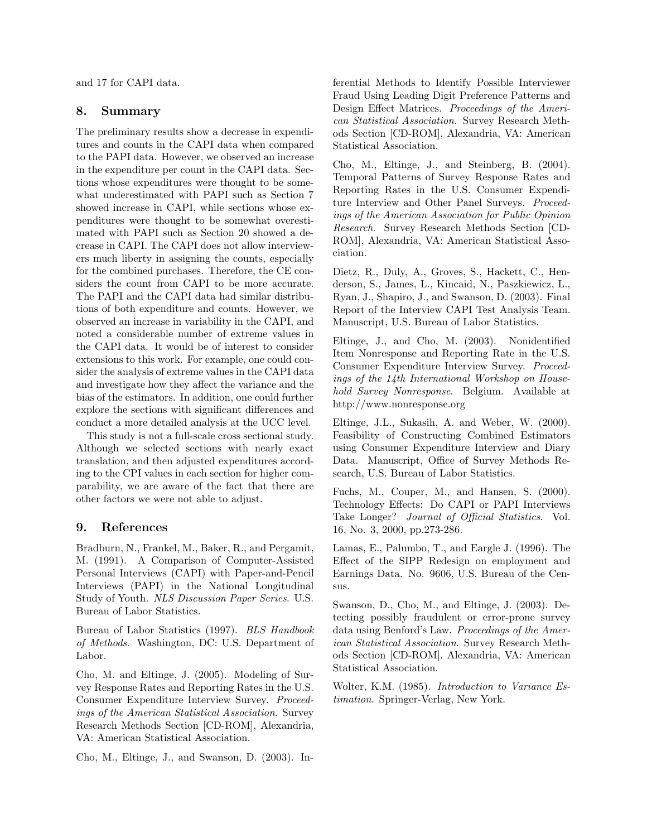and 17 for CAPI data.

### **8. Summary**

The preliminary results show a decrease in expenditures and counts in the CAPI data when compared to the PAPI data. However, we observed an increase in the expenditure per count in the CAPI data. Sections whose expenditures were thought to be somewhat underestimated with PAPI such as Section 7 showed increase in CAPI, while sections whose expenditures were thought to be somewhat overestimated with PAPI such as Section 20 showed a decrease in CAPI. The CAPI does not allow interviewers much liberty in assigning the counts, especially for the combined purchases. Therefore, the CE considers the count from CAPI to be more accurate. The PAPI and the CAPI data had similar distributions of both expenditure and counts. However, we observed an increase in variability in the CAPI, and noted a considerable number of extreme values in the CAPI data. It would be of interest to consider extensions to this work. For example, one could consider the analysis of extreme values in the CAPI data and investigate how they affect the variance and the bias of the estimators. In addition, one could further explore the sections with significant differences and conduct a more detailed analysis at the UCC level.

This study is not a full-scale cross sectional study. Although we selected sections with nearly exact translation, and then adjusted expenditures according to the CPI values in each section for higher comparability, we are aware of the fact that there are other factors we were not able to adjust.

# **9. References**

Bradburn, N., Frankel, M., Baker, R., and Pergamit, M. (1991). A Comparison of Computer-Assisted Personal Interviews (CAPI) with Paper-and-Pencil Interviews (PAPI) in the National Longitudinal Study of Youth. *NLS Discussion Paper Series*. U.S. Bureau of Labor Statistics.

Bureau of Labor Statistics (1997). *BLS Handbook of Methods*. Washington, DC: U.S. Department of Labor.

Cho, M. and Eltinge, J. (2005). Modeling of Survey Response Rates and Reporting Rates in the U.S. Consumer Expenditure Interview Survey. *Proceedings of the American Statistical Association*. Survey Research Methods Section [CD-ROM], Alexandria, VA: American Statistical Association.

Cho, M., Eltinge, J., and Swanson, D. (2003). In-

ferential Methods to Identify Possible Interviewer Fraud Using Leading Digit Preference Patterns and Design Effect Matrices. *Proceedings of the American Statistical Association*. Survey Research Methods Section [CD-ROM], Alexandria, VA: American Statistical Association.

Cho, M., Eltinge, J., and Steinberg, B. (2004). Temporal Patterns of Survey Response Rates and Reporting Rates in the U.S. Consumer Expenditure Interview and Other Panel Surveys. *Proceedings of the American Association for Public Opinion Research*. Survey Research Methods Section [CD-ROM], Alexandria, VA: American Statistical Association.

Dietz, R., Duly, A., Groves, S., Hackett, C., Henderson, S., James, L., Kincaid, N., Paszkiewicz, L., Ryan, J., Shapiro, J., and Swanson, D. (2003). Final Report of the Interview CAPI Test Analysis Team. Manuscript, U.S. Bureau of Labor Statistics.

Eltinge, J., and Cho, M. (2003). Nonidentified Item Nonresponse and Reporting Rate in the U.S. Consumer Expenditure Interview Survey. *Proceedings of the 14th International Workshop on Household Survey Nonresponse*. Belgium. Available at http://www.nonresponse.org

Eltinge, J.L., Sukasih, A. and Weber, W. (2000). Feasibility of Constructing Combined Estimators using Consumer Expenditure Interview and Diary Data. Manuscript, Office of Survey Methods Research, U.S. Bureau of Labor Statistics.

Fuchs, M., Couper, M., and Hansen, S. (2000). Technology Effects: Do CAPI or PAPI Interviews Take Longer? *Journal of Official Statistics*. Vol. 16, No. 3, 2000, pp.273-286.

Lamas, E., Palumbo, T., and Eargle J. (1996). The Effect of the SIPP Redesign on employment and Earnings Data. No. 9606, U.S. Bureau of the Census.

Swanson, D., Cho, M., and Eltinge, J. (2003). Detecting possibly fraudulent or error-prone survey data using Benford's Law. *Proceedings of the American Statistical Association*. Survey Research Methods Section [CD-ROM]. Alexandria, VA: American Statistical Association.

Wolter, K.M. (1985). *Introduction to Variance Estimation*. Springer-Verlag, New York.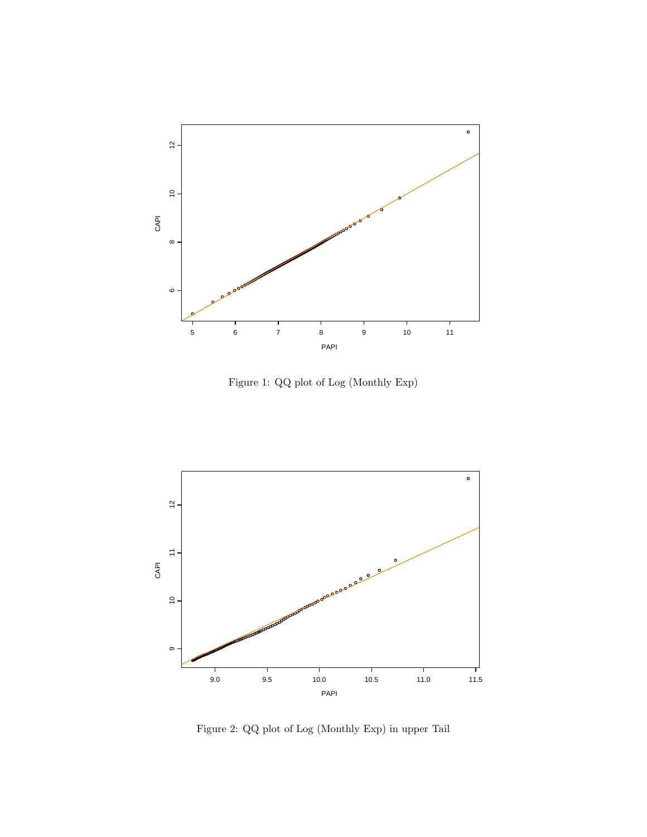

Figure 1: QQ plot of Log (Monthly Exp)



Figure 2: QQ plot of Log (Monthly Exp) in upper Tail